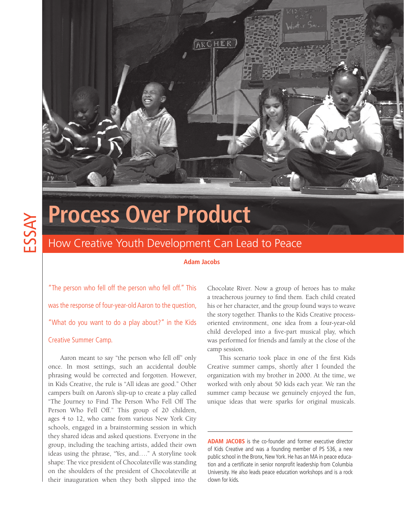

# ESSAY

## **Process Over Product**

### How Creative Youth Development Can Lead to Peace

#### **Adam Jacobs**

"The person who fell off the person who fell off." This was the response of four-year-old Aaron to the question, "What do you want to do a play about?" in the Kids

#### Creative Summer Camp.

Aaron meant to say "the person who fell off" only once. In most settings, such an accidental double phrasing would be corrected and forgotten. However, in Kids Creative, the rule is "All ideas are good." Other campers built on Aaron's slip-up to create a play called "The Journey to Find The Person Who Fell Off The Person Who Fell Off." This group of 20 children, ages 4 to 12, who came from various New York City schools, engaged in a brainstorming session in which they shared ideas and asked questions. Everyone in the group, including the teaching artists, added their own ideas using the phrase, "Yes, and…." A storyline took shape: The vice president of Chocolateville was standing on the shoulders of the president of Chocolateville at their inauguration when they both slipped into the

Chocolate River. Now a group of heroes has to make a treacherous journey to find them. Each child created his or her character, and the group found ways to weave the story together. Thanks to the Kids Creative processoriented environment, one idea from a four-year-old child developed into a five-part musical play, which was performed for friends and family at the close of the camp session.

This scenario took place in one of the first Kids Creative summer camps, shortly after I founded the organization with my brother in 2000. At the time, we worked with only about 50 kids each year. We ran the summer camp because we genuinely enjoyed the fun, unique ideas that were sparks for original musicals.

**ADAM JACOBS** is the co-founder and former executive director of Kids Creative and was a founding member of PS 536, a new public school in the Bronx, New York. He has an MA in peace education and a certificate in senior nonprofit leadership from Columbia University. He also leads peace education workshops and is a rock clown for kids.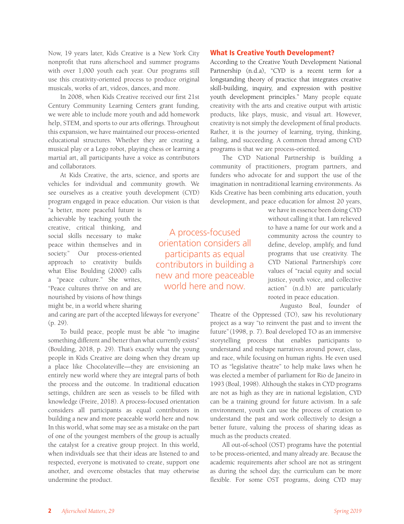Now, 19 years later, Kids Creative is a New York City nonprofit that runs afterschool and summer programs with over 1,000 youth each year. Our programs still use this creativity-oriented process to produce original musicals, works of art, videos, dances, and more.

In 2008, when Kids Creative received our first 21st Century Community Learning Centers grant funding, we were able to include more youth and add homework help, STEM, and sports to our arts offerings. Throughout this expansion, we have maintained our process-oriented educational structures. Whether they are creating a musical play or a Lego robot, playing chess or learning a martial art, all participants have a voice as contributors and collaborators.

At Kids Creative, the arts, science, and sports are vehicles for individual and community growth. We see ourselves as a creative youth development (CYD) program engaged in peace education. Our vision is that

"a better, more peaceful future is achievable by teaching youth the creative, critical thinking, and social skills necessary to make peace within themselves and in society." Our process-oriented approach to creativity builds what Elise Boulding (2000) calls a "peace culture." She writes, "Peace cultures thrive on and are nourished by visions of how things might be, in a world where sharing

and caring are part of the accepted lifeways for everyone" (p. 29).

To build peace, people must be able "to imagine something different and better than what currently exists" (Boulding, 2018, p. 29). That's exactly what the young people in Kids Creative are doing when they dream up a place like Chocolateville—they are envisioning an entirely new world where they are integral parts of both the process and the outcome. In traditional education settings, children are seen as vessels to be filled with knowledge (Freire, 2018). A process-focused orientation considers all participants as equal contributors in building a new and more peaceable world here and now. In this world, what some may see as a mistake on the part of one of the youngest members of the group is actually the catalyst for a creative group project. In this world, when individuals see that their ideas are listened to and respected, everyone is motivated to create, support one another, and overcome obstacles that may otherwise undermine the product.

What Is Creative Youth Development?

According to the Creative Youth Development National Partnership (n.d.a), "CYD is a recent term for a longstanding theory of practice that integrates creative skill-building, inquiry, and expression with positive youth development principles." Many people equate creativity with the arts and creative output with artistic products, like plays, music, and visual art. However, creativity is not simply the development of final products. Rather, it is the journey of learning, trying, thinking, failing, and succeeding. A common thread among CYD programs is that we are process-oriented.

The CYD National Partnership is building a community of practitioners, program partners, and funders who advocate for and support the use of the imagination in nontraditional learning environments. As Kids Creative has been combining arts education, youth development, and peace education for almost 20 years,

> we have in essence been doing CYD without calling it that. I am relieved to have a name for our work and a community across the country to define, develop, amplify, and fund programs that use creativity. The CYD National Partnership's core values of "racial equity and social justice, youth voice, and collective action" (n.d.b) are particularly rooted in peace education.

> > Augusto Boal, founder of

Theatre of the Oppressed (TO), saw his revolutionary project as a way "to reinvent the past and to invent the future"(1998, p. 7). Boal developed TO as an immersive storytelling process that enables participants to understand and reshape narratives around power, class, and race, while focusing on human rights. He even used TO as "legislative theatre" to help make laws when he was elected a member of parliament for Rio de Janeiro in 1993 (Boal, 1998). Although the stakes in CYD programs are not as high as they are in national legislation, CYD can be a training ground for future activism. In a safe environment, youth can use the process of creation to understand the past and work collectively to design a better future, valuing the process of sharing ideas as much as the products created.

All out-of-school (OST) programs have the potential to be process-oriented, and many already are. Because the academic requirements after school are not as stringent as during the school day, the curriculum can be more flexible. For some OST programs, doing CYD may

A process-focused orientation considers all participants as equal contributors in building a new and more peaceable world here and now.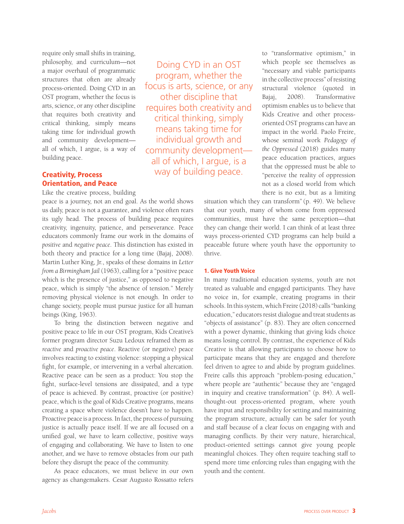require only small shifts in training, philosophy, and curriculum—not a major overhaul of programmatic structures that often are already process-oriented. Doing CYD in an OST program, whether the focus is arts, science, or any other discipline that requires both creativity and critical thinking, simply means taking time for individual growth and community development all of which, I argue, is a way of building peace.

#### Creativity, Process Orientation, and Peace

Like the creative process, building

peace is a journey, not an end goal. As the world shows us daily, peace is not a guarantee, and violence often rears its ugly head. The process of building peace requires creativity, ingenuity, patience, and perseverance. Peace educators commonly frame our work in the domains of *positive* and *negative peace*. This distinction has existed in both theory and practice for a long time (Bajaj, 2008). Martin Luther King, Jr., speaks of these domains in *Letter from a Birmingham Jail* (1963), calling for a "positive peace which is the presence of justice," as opposed to negative peace, which is simply "the absence of tension." Merely removing physical violence is not enough. In order to change society, people must pursue justice for all human beings (King, 1963).

To bring the distinction between negative and positive peace to life in our OST program, Kids Creative's former program director Suzu Ledoux reframed them as *reactive* and *proactive peace*. Reactive (or negative) peace involves reacting to existing violence: stopping a physical fight, for example, or intervening in a verbal altercation. Reactive peace can be seen as a product: You stop the fight, surface-level tensions are dissipated, and a type of peace is achieved. By contrast, proactive (or positive) peace, which is the goal of Kids Creative programs, means creating a space where violence doesn't have to happen. Proactive peace is a process. In fact, the process of pursuing justice is actually peace itself. If we are all focused on a unified goal, we have to learn collective, positive ways of engaging and collaborating. We have to listen to one another, and we have to remove obstacles from our path before they disrupt the peace of the community.

As peace educators, we must believe in our own agency as changemakers. Cesar Augusto Rossatto refers

Doing CYD in an OST program, whether the focus is arts, science, or any other discipline that requires both creativity and critical thinking, simply means taking time for individual growth and community development all of which, I argue, is a way of building peace.

to "transformative optimism," in which people see themselves as "necessary and viable participants in the collective process" of resisting structural violence (quoted in Bajaj, 2008). Transformative optimism enables us to believe that Kids Creative and other processoriented OST programs can have an impact in the world. Paolo Freire, whose seminal work *Pedagogy of the Oppressed* (2018) guides many peace education practices, argues that the oppressed must be able to "perceive the reality of oppression not as a closed world from which there is no exit, but as a limiting

situation which they can transform" (p. 49). We believe that our youth, many of whom come from oppressed communities, must have the same perception—that they can change their world. I can think of at least three ways process-oriented CYD programs can help build a peaceable future where youth have the opportunity to thrive.

#### 1. Give Youth Voice

In many traditional education systems, youth are not treated as valuable and engaged participants. They have no voice in, for example, creating programs in their schools. In this system, which Freire (2018) calls "banking education," educators resist dialogue and treat students as "objects of assistance" (p. 83). They are often concerned with a power dynamic, thinking that giving kids choice means losing control. By contrast, the experience of Kids Creative is that allowing participants to choose how to participate means that they are engaged and therefore feel driven to agree to and abide by program guidelines. Freire calls this approach "problem-posing education," where people are "authentic" because they are "engaged in inquiry and creative transformation" (p. 84). A wellthought-out process-oriented program, where youth have input and responsibility for setting and maintaining the program structure, actually can be safer for youth and staff because of a clear focus on engaging with and managing conflicts. By their very nature, hierarchical, product-oriented settings cannot give young people meaningful choices. They often require teaching staff to spend more time enforcing rules than engaging with the youth and the content.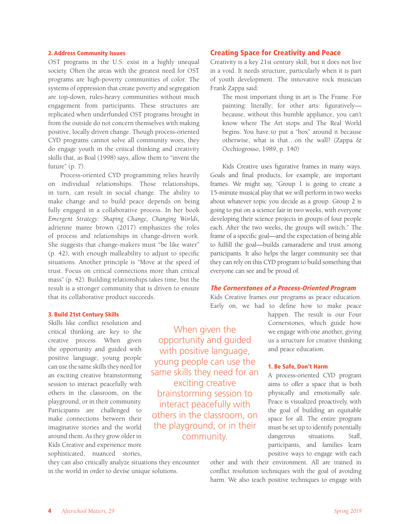#### 2. Address Community Issues

OST programs in the U.S. exist in a highly unequal society. Often the areas with the greatest need for OST programs are high-poverty communities of color. The systems of oppression that create poverty and segregation are top-down, rules-heavy communities without much engagement from participants. These structures are replicated when underfunded OST programs brought in from the outside do not concern themselves with making positive, locally driven change. Though process-oriented CYD programs cannot solve all community woes, they do engage youth in the critical thinking and creativity skills that, as Boal (1998) says, allow them to "invent the future" (p. 7).

Process-oriented CYD programming relies heavily on individual relationships. Those relationships, in turn, can result in social change. The ability to make change and to build peace depends on being fully engaged in a collaborative process. In her book *Emergent Strategy: Shaping Change, Changing Worlds,* adrienne maree brown (2017) emphasizes the roles of process and relationships in change-driven work. She suggests that change-makers must "be like water" (p. 42), with enough malleability to adjust to specific situations. Another principle is "Move at the speed of trust. Focus on critical connections more than critical mass" (p. 42). Building relationships takes time, but the result is a stronger community that is driven to ensure that its collaborative product succeeds.

#### Creating Space for Creativity and Peace

Creativity is a key 21st century skill, but it does not live in a void. It needs structure, particularly when it is part of youth development. The innovative rock musician Frank Zappa said:

The most important thing in art is The Frame. For painting: literally; for other arts: figuratively because, without this humble appliance, you can't know where The Art stops and The Real World begins. You have to put a "box" around it because otherwise, what is that…on the wall? (Zappa & Occhiogrosso, 1989, p. 140)

Kids Creative uses figurative frames in many ways. Goals and final products, for example, are important frames. We might say, "Group 1 is going to create a 15-minute musical play that we will perform in two weeks about whatever topic you decide as a group. Group 2 is going to put on a science fair in two weeks, with everyone developing their science projects in groups of four people each. After the two weeks, the groups will switch." The frame of a specific goal—and the expectation of being able to fulfill the goal—builds camaraderie and trust among participants. It also helps the larger community see that they can rely on this CYD program to build something that everyone can see and be proud of.

#### The Cornerstones of a Process-Oriented Program

Kids Creative frames our programs as peace education. Early on, we had to define how to make peace

#### 3. Build 21st Century Skills

Skills like conflict resolution and critical thinking are key to the creative process. When given the opportunity and guided with positive language, young people can use the same skills they need for an exciting creative brainstorming session to interact peacefully with others in the classroom, on the playground, or in their community. Participants are challenged to make connections between their imaginative stories and the world around them. As they grow older in Kids Creative and experience more sophisticated, nuanced stories,

they can also critically analyze situations they encounter in the world in order to devise unique solutions.

When given the opportunity and guided with positive language, young people can use the same skills they need for an exciting creative brainstorming session to interact peacefully with others in the classroom, on the playground, or in their community.

happen. The result is our Four Cornerstones, which guide how we engage with one another, giving us a structure for creative thinking and peace education.

#### 1. Be Safe, Don't Harm

A process-oriented CYD program aims to offer a space that is both physically and emotionally safe. Peace is visualized proactively, with the goal of building an equitable space for all. The entire program must be set up to identify potentially dangerous situations. Staff, participants, and families learn positive ways to engage with each

other and with their environment. All are trained in conflict resolution techniques with the goal of avoiding harm. We also teach positive techniques to engage with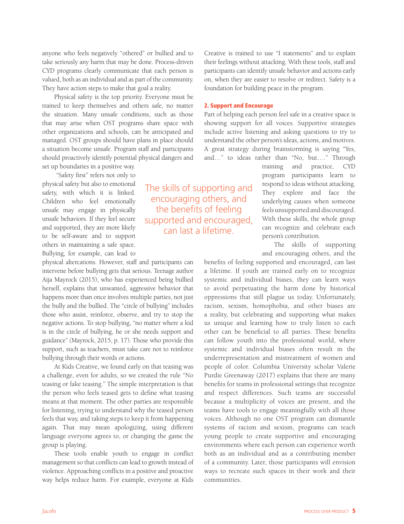anyone who feels negatively "othered" or bullied and to take seriously any harm that may be done. Process-driven CYD programs clearly communicate that each person is valued, both as an individual and as part of the community. They have action steps to make that goal a reality.

Physical safety is the top priority. Everyone must be trained to keep themselves and others safe, no matter the situation. Many unsafe conditions, such as those that may arise when OST programs share space with other organizations and schools, can be anticipated and managed. OST groups should have plans in place should a situation become unsafe. Program staff and participants should proactively identify potential physical dangers and set up boundaries in a positive way.

 "Safety first" refers not only to physical safety but also to emotional safety, with which it is linked. Children who feel emotionally unsafe may engage in physically unsafe behaviors. If they feel secure and supported, they are more likely to be self-aware and to support others in maintaining a safe space. Bullying, for example, can lead to

physical altercations. However, staff and participants can intervene before bullying gets that serious. Teenage author Aija Mayrock (2015), who has experienced being bullied herself, explains that unwanted, aggressive behavior that happens more than once involves multiple parties, not just the bully and the bullied. The "circle of bullying" includes those who assist, reinforce, observe, and try to stop the negative actions. To stop bullying, "no matter where a kid is in the circle of bullying, he or she needs support and guidance" (Mayrock, 2015, p. 17). Those who provide this support, such as teachers, must take care not to reinforce bullying through their words or actions.

At Kids Creative, we found early on that teasing was a challenge, even for adults, so we created the rule "No teasing or fake teasing." The simple interpretation is that the person who feels teased gets to define what teasing means at that moment. The other parties are responsible for listening, trying to understand why the teased person feels that way, and taking steps to keep it from happening again. That may mean apologizing, using different language everyone agrees to, or changing the game the group is playing.

These tools enable youth to engage in conflict management so that conflicts can lead to growth instead of violence. Approaching conflicts in a positive and proactive way helps reduce harm. For example, everyone at Kids

Creative is trained to use "I statements" and to explain their feelings without attacking. With these tools, staff and participants can identify unsafe behavior and actions early on, when they are easier to resolve or redirect. Safety is a foundation for building peace in the program.

#### 2. Support and Encourage

Part of helping each person feel safe in a creative space is showing support for all voices. Supportive strategies include active listening and asking questions to try to understand the other person's ideas, actions, and motives. A great strategy during brainstorming is saying "Yes, and…" to ideas rather than "No, but…." Through

training and practice, CYD program participants learn to respond to ideas without attacking. They explore and face the underlying causes when someone feels unsupported and discouraged. With these skills, the whole group can recognize and celebrate each person's contribution.

The skills of supporting and encouraging others, and the

benefits of feeling supported and encouraged, can last a lifetime. If youth are trained early on to recognize systemic and individual biases, they can learn ways to avoid perpetuating the harm done by historical oppressions that still plague us today. Unfortunately, racism, sexism, homophobia, and other biases are a reality, but celebrating and supporting what makes us unique and learning how to truly listen to each other can be beneficial to all parties. These benefits can follow youth into the professional world, where systemic and individual biases often result in the underrepresentation and mistreatment of women and people of color. Columbia University scholar Valerie Purdie Greenaway (2017) explains that there are many benefits for teams in professional settings that recognize and respect differences. Such teams are successful because a multiplicity of voices are present, and the teams have tools to engage meaningfully with all those voices. Although no one OST program can dismantle systems of racism and sexism, programs can teach young people to create supportive and encouraging environments where each person can experience worth both as an individual and as a contributing member of a community. Later, those participants will envision ways to recreate such spaces in their work and their communities.

The skills of supporting and encouraging others, and the benefits of feeling supported and encouraged, can last a lifetime.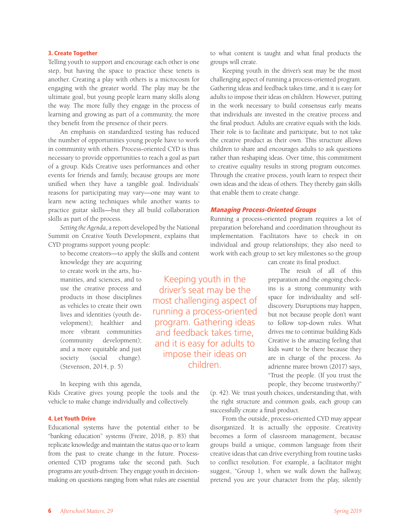#### 3. Create Together

Telling youth to support and encourage each other is one step, but having the space to practice these tenets is another. Creating a play with others is a microcosm for engaging with the greater world. The play may be the ultimate goal, but young people learn many skills along the way. The more fully they engage in the process of learning and growing as part of a community, the more they benefit from the presence of their peers.

An emphasis on standardized testing has reduced the number of opportunities young people have to work in community with others. Process-oriented CYD is thus necessary to provide opportunities to reach a goal as part of a group. Kids Creative uses performances and other events for friends and family, because groups are more unified when they have a tangible goal. Individuals' reasons for participating may vary—one may want to learn new acting techniques while another wants to practice guitar skills—but they all build collaboration skills as part of the process.

*Setting the Agenda*, a report developed by the National Summit on Creative Youth Development, explains that CYD programs support young people:

to become creators—to apply the skills and content

knowledge they are acquiring to create work in the arts, humanities, and sciences, and to use the creative process and products in those disciplines as vehicles to create their own lives and identities (youth development); healthier and more vibrant communities (community development); and a more equitable and just society (social change). (Stevenson, 2014, p. 5)

In keeping with this agenda,

Kids Creative gives young people the tools and the vehicle to make change individually and collectively.

#### 4. Let Youth Drive

Educational systems have the potential either to be "banking education" systems (Freire, 2018, p. 83) that replicate knowledge and maintain the status quo or to learn from the past to create change in the future. Processoriented CYD programs take the second path. Such programs are youth-driven: They engage youth in decisionmaking on questions ranging from what rules are essential

to what content is taught and what final products the groups will create.

Keeping youth in the driver's seat may be the most challenging aspect of running a process-oriented program. Gathering ideas and feedback takes time, and it is easy for adults to impose their ideas on children. However, putting in the work necessary to build consensus early means that individuals are invested in the creative process and the final product. Adults are creative equals with the kids. Their role is to facilitate and participate, but to not take the creative product as their own. This structure allows children to share and encourages adults to ask questions rather than reshaping ideas. Over time, this commitment to creative equality results in strong program outcomes. Through the creative process, youth learn to respect their own ideas and the ideas of others. They thereby gain skills that enable them to create change.

#### Managing Process-Oriented Groups

Keeping youth in the driver's seat may be the most challenging aspect of running a process-oriented program. Gathering ideas and feedback takes time, and it is easy for adults to impose their ideas on children.

Running a process-oriented program requires a lot of preparation beforehand and coordination throughout its implementation. Facilitators have to check in on individual and group relationships; they also need to work with each group to set key milestones so the group

can create its final product.

The result of all of this preparation and the ongoing checkins is a strong community with space for individuality and selfdiscovery. Disruptions may happen, but not because people don't want to follow top-down rules. What drives me to continue building Kids Creative is the amazing feeling that kids *want* to be there because they are in charge of the process. As adrienne maree brown (2017) says, "Trust the people. (If you trust the people, they become trustworthy)"

(p. 42). We trust youth choices, understanding that, with the right structure and common goals, each group can successfully create a final product.

From the outside, process-oriented CYD may appear disorganized. It is actually the opposite. Creativity becomes a form of classroom management, because groups build a unique, common language from their creative ideas that can drive everything from routine tasks to conflict resolution. For example, a facilitator might suggest, "Group 1, when we walk down the hallway, pretend you are your character from the play, silently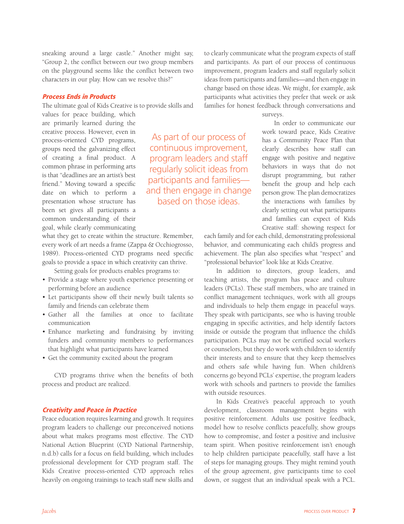sneaking around a large castle." Another might say, "Group 2, the conflict between our two group members on the playground seems like the conflict between two characters in our play. How can we resolve this?"

#### Process Ends in Products

The ultimate goal of Kids Creative is to provide skills and

values for peace building, which are primarily learned during the creative process. However, even in process-oriented CYD programs, groups need the galvanizing effect of creating a final product. A common phrase in performing arts is that "deadlines are an artist's best friend." Moving toward a specific date on which to perform a presentation whose structure has been set gives all participants a common understanding of their goal, while clearly communicating

As part of our process of continuous improvement, program leaders and staff regularly solicit ideas from participants and families and then engage in change based on those ideas.

what they get to create within the structure. Remember, every work of art needs a frame (Zappa & Occhiogrosso, 1989). Process-oriented CYD programs need specific goals to provide a space in which creativity can thrive.

Setting goals for products enables programs to:

- Provide a stage where youth experience presenting or performing before an audience
- Let participants show off their newly built talents so family and friends can celebrate them
- Gather all the families at once to facilitate communication
- Enhance marketing and fundraising by inviting funders and community members to performances that highlight what participants have learned
- Get the community excited about the program

CYD programs thrive when the benefits of both process and product are realized.

#### Creativity and Peace in Practice

Peace education requires learning and growth. It requires program leaders to challenge our preconceived notions about what makes programs most effective. The CYD National Action Blueprint (CYD National Partnership, n.d.b) calls for a focus on field building, which includes professional development for CYD program staff. The Kids Creative process-oriented CYD approach relies heavily on ongoing trainings to teach staff new skills and to clearly communicate what the program expects of staff and participants. As part of our process of continuous improvement, program leaders and staff regularly solicit ideas from participants and families—and then engage in change based on those ideas. We might, for example, ask participants what activities they prefer that week or ask families for honest feedback through conversations and

surveys.

In order to communicate our work toward peace, Kids Creative has a Community Peace Plan that clearly describes how staff can engage with positive and negative behaviors in ways that do not disrupt programming, but rather benefit the group and help each person grow. The plan democratizes the interactions with families by clearly setting out what participants and families can expect of Kids Creative staff: showing respect for

each family and for each child, demonstrating professional behavior, and communicating each child's progress and achievement. The plan also specifies what "respect" and "professional behavior" look like at Kids Creative.

In addition to directors, group leaders, and teaching artists, the program has peace and culture leaders (PCLs). These staff members, who are trained in conflict management techniques, work with all groups and individuals to help them engage in peaceful ways. They speak with participants, see who is having trouble engaging in specific activities, and help identify factors inside or outside the program that influence the child's participation. PCLs may not be certified social workers or counselors, but they do work with children to identify their interests and to ensure that they keep themselves and others safe while having fun. When children's concerns go beyond PCLs' expertise, the program leaders work with schools and partners to provide the families with outside resources.

In Kids Creative's peaceful approach to youth development, classroom management begins with positive reinforcement. Adults use positive feedback, model how to resolve conflicts peacefully, show groups how to compromise, and foster a positive and inclusive team spirit. When positive reinforcement isn't enough to help children participate peacefully, staff have a list of steps for managing groups. They might remind youth of the group agreement, give participants time to cool down, or suggest that an individual speak with a PCL.